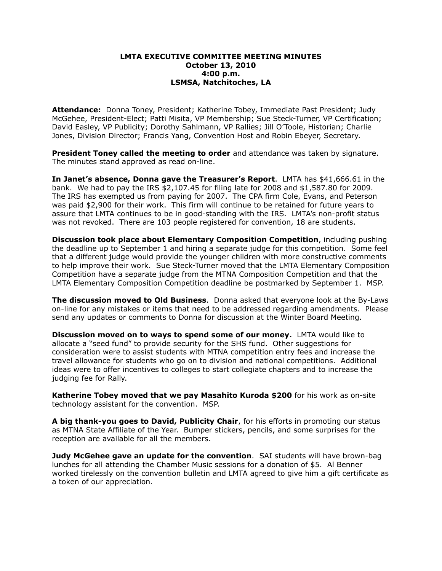# **LMTA EXECUTIVE COMMITTEE MEETING MINUTES October 13, 2010 4:00 p.m. LSMSA, Natchitoches, LA**

**Attendance:** Donna Toney, President; Katherine Tobey, Immediate Past President; Judy McGehee, President-Elect; Patti Misita, VP Membership; Sue Steck-Turner, VP Certification; David Easley, VP Publicity; Dorothy Sahlmann, VP Rallies; Jill O'Toole, Historian; Charlie Jones, Division Director; Francis Yang, Convention Host and Robin Ebeyer, Secretary.

**President Toney called the meeting to order** and attendance was taken by signature. The minutes stand approved as read on-line.

**In Janet's absence, Donna gave the Treasurer's Report**. LMTA has \$41,666.61 in the bank. We had to pay the IRS \$2,107.45 for filing late for 2008 and \$1,587.80 for 2009. The IRS has exempted us from paying for 2007. The CPA firm Cole, Evans, and Peterson was paid \$2,900 for their work. This firm will continue to be retained for future years to assure that LMTA continues to be in good-standing with the IRS. LMTA's non-profit status was not revoked. There are 103 people registered for convention, 18 are students.

**Discussion took place about Elementary Composition Competition**, including pushing the deadline up to September 1 and hiring a separate judge for this competition. Some feel that a different judge would provide the younger children with more constructive comments to help improve their work. Sue Steck-Turner moved that the LMTA Elementary Composition Competition have a separate judge from the MTNA Composition Competition and that the LMTA Elementary Composition Competition deadline be postmarked by September 1. MSP.

**The discussion moved to Old Business**. Donna asked that everyone look at the By-Laws on-line for any mistakes or items that need to be addressed regarding amendments. Please send any updates or comments to Donna for discussion at the Winter Board Meeting.

**Discussion moved on to ways to spend some of our money.** LMTA would like to allocate a "seed fund" to provide security for the SHS fund. Other suggestions for consideration were to assist students with MTNA competition entry fees and increase the travel allowance for students who go on to division and national competitions. Additional ideas were to offer incentives to colleges to start collegiate chapters and to increase the judging fee for Rally.

**Katherine Tobey moved that we pay Masahito Kuroda \$200** for his work as on-site technology assistant for the convention. MSP.

**A big thank-you goes to David, Publicity Chair**, for his efforts in promoting our status as MTNA State Affiliate of the Year. Bumper stickers, pencils, and some surprises for the reception are available for all the members.

**Judy McGehee gave an update for the convention**. SAI students will have brown-bag lunches for all attending the Chamber Music sessions for a donation of \$5. Al Benner worked tirelessly on the convention bulletin and LMTA agreed to give him a gift certificate as a token of our appreciation.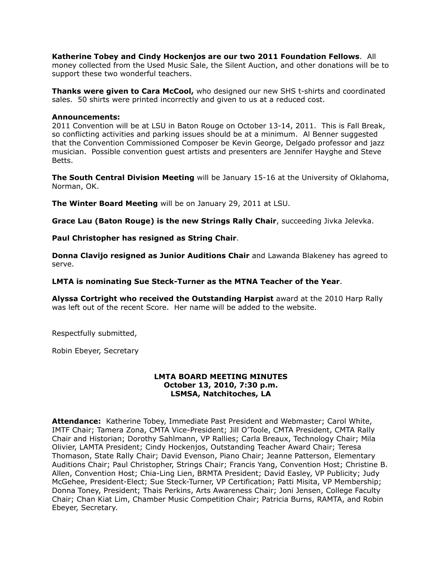# **Katherine Tobey and Cindy Hockenjos are our two 2011 Foundation Fellows**. All

money collected from the Used Music Sale, the Silent Auction, and other donations will be to support these two wonderful teachers.

**Thanks were given to Cara McCool,** who designed our new SHS t-shirts and coordinated sales. 50 shirts were printed incorrectly and given to us at a reduced cost.

# **Announcements:**

2011 Convention will be at LSU in Baton Rouge on October 13-14, 2011. This is Fall Break, so conflicting activities and parking issues should be at a minimum. Al Benner suggested that the Convention Commissioned Composer be Kevin George, Delgado professor and jazz musician. Possible convention guest artists and presenters are Jennifer Hayghe and Steve Betts.

**The South Central Division Meeting** will be January 15-16 at the University of Oklahoma, Norman, OK.

**The Winter Board Meeting** will be on January 29, 2011 at LSU.

**Grace Lau (Baton Rouge) is the new Strings Rally Chair**, succeeding Jivka Jelevka.

**Paul Christopher has resigned as String Chair**.

**Donna Clavijo resigned as Junior Auditions Chair** and Lawanda Blakeney has agreed to serve.

**LMTA is nominating Sue Steck-Turner as the MTNA Teacher of the Year**.

**Alyssa Cortright who received the Outstanding Harpist** award at the 2010 Harp Rally was left out of the recent Score. Her name will be added to the website.

Respectfully submitted,

Robin Ebeyer, Secretary

# **LMTA BOARD MEETING MINUTES October 13, 2010, 7:30 p.m. LSMSA, Natchitoches, LA**

**Attendance:** Katherine Tobey, Immediate Past President and Webmaster; Carol White, IMTF Chair; Tamera Zona, CMTA Vice-President; Jill O'Toole, CMTA President, CMTA Rally Chair and Historian; Dorothy Sahlmann, VP Rallies; Carla Breaux, Technology Chair; Mila Olivier, LAMTA President; Cindy Hockenjos, Outstanding Teacher Award Chair; Teresa Thomason, State Rally Chair; David Evenson, Piano Chair; Jeanne Patterson, Elementary Auditions Chair; Paul Christopher, Strings Chair; Francis Yang, Convention Host; Christine B. Allen, Convention Host; Chia-Ling Lien, BRMTA President; David Easley, VP Publicity; Judy McGehee, President-Elect; Sue Steck-Turner, VP Certification; Patti Misita, VP Membership; Donna Toney, President; Thais Perkins, Arts Awareness Chair; Joni Jensen, College Faculty Chair; Chan Kiat Lim, Chamber Music Competition Chair; Patricia Burns, RAMTA, and Robin Ebeyer, Secretary.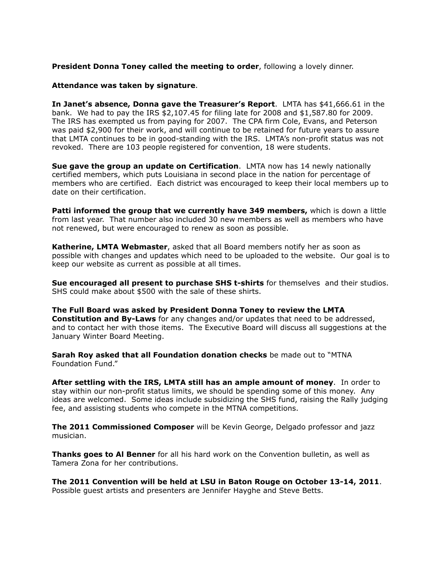# **President Donna Toney called the meeting to order**, following a lovely dinner.

#### **Attendance was taken by signature**.

**In Janet's absence, Donna gave the Treasurer's Report**. LMTA has \$41,666.61 in the bank. We had to pay the IRS \$2,107.45 for filing late for 2008 and \$1,587.80 for 2009. The IRS has exempted us from paying for 2007. The CPA firm Cole, Evans, and Peterson was paid \$2,900 for their work, and will continue to be retained for future years to assure that LMTA continues to be in good-standing with the IRS. LMTA's non-profit status was not revoked. There are 103 people registered for convention, 18 were students.

**Sue gave the group an update on Certification**. LMTA now has 14 newly nationally certified members, which puts Louisiana in second place in the nation for percentage of members who are certified. Each district was encouraged to keep their local members up to date on their certification.

**Patti informed the group that we currently have 349 members,** which is down a little from last year. That number also included 30 new members as well as members who have not renewed, but were encouraged to renew as soon as possible.

**Katherine, LMTA Webmaster**, asked that all Board members notify her as soon as possible with changes and updates which need to be uploaded to the website. Our goal is to keep our website as current as possible at all times.

**Sue encouraged all present to purchase SHS t-shirts** for themselves and their studios. SHS could make about \$500 with the sale of these shirts.

**The Full Board was asked by President Donna Toney to review the LMTA Constitution and By-Laws** for any changes and/or updates that need to be addressed, and to contact her with those items. The Executive Board will discuss all suggestions at the January Winter Board Meeting.

**Sarah Roy asked that all Foundation donation checks** be made out to "MTNA Foundation Fund."

**After settling with the IRS, LMTA still has an ample amount of money**. In order to stay within our non-profit status limits, we should be spending some of this money. Any ideas are welcomed. Some ideas include subsidizing the SHS fund, raising the Rally judging fee, and assisting students who compete in the MTNA competitions.

**The 2011 Commissioned Composer** will be Kevin George, Delgado professor and jazz musician.

**Thanks goes to Al Benner** for all his hard work on the Convention bulletin, as well as Tamera Zona for her contributions.

**The 2011 Convention will be held at LSU in Baton Rouge on October 13-14, 2011**. Possible guest artists and presenters are Jennifer Hayghe and Steve Betts.